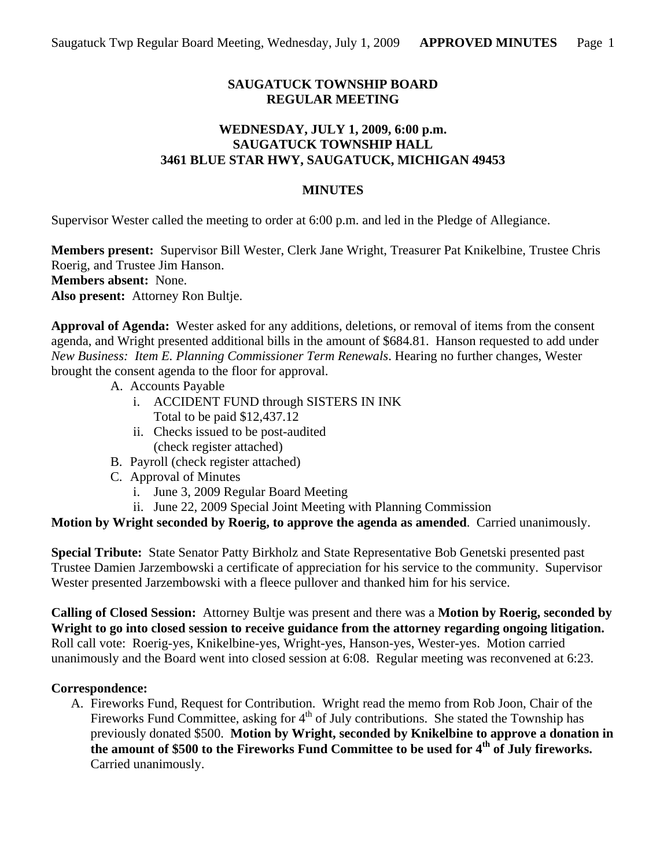# **SAUGATUCK TOWNSHIP BOARD REGULAR MEETING**

## **WEDNESDAY, JULY 1, 2009, 6:00 p.m. SAUGATUCK TOWNSHIP HALL 3461 BLUE STAR HWY, SAUGATUCK, MICHIGAN 49453**

## **MINUTES**

Supervisor Wester called the meeting to order at 6:00 p.m. and led in the Pledge of Allegiance.

**Members present:** Supervisor Bill Wester, Clerk Jane Wright, Treasurer Pat Knikelbine, Trustee Chris Roerig, and Trustee Jim Hanson. **Members absent:** None. **Also present:** Attorney Ron Bultje.

**Approval of Agenda:** Wester asked for any additions, deletions, or removal of items from the consent agenda, and Wright presented additional bills in the amount of \$684.81. Hanson requested to add under *New Business: Item E. Planning Commissioner Term Renewals*. Hearing no further changes, Wester brought the consent agenda to the floor for approval.

- A. Accounts Payable
	- i. ACCIDENT FUND through SISTERS IN INK Total to be paid \$12,437.12
	- ii. Checks issued to be post-audited (check register attached)
- B. Payroll (check register attached)
- C. Approval of Minutes
	- i. June 3, 2009 Regular Board Meeting
	- ii. June 22, 2009 Special Joint Meeting with Planning Commission

**Motion by Wright seconded by Roerig, to approve the agenda as amended**. Carried unanimously.

**Special Tribute:** State Senator Patty Birkholz and State Representative Bob Genetski presented past Trustee Damien Jarzembowski a certificate of appreciation for his service to the community. Supervisor Wester presented Jarzembowski with a fleece pullover and thanked him for his service.

**Calling of Closed Session:** Attorney Bultje was present and there was a **Motion by Roerig, seconded by Wright to go into closed session to receive guidance from the attorney regarding ongoing litigation.**  Roll call vote: Roerig-yes, Knikelbine-yes, Wright-yes, Hanson-yes, Wester-yes. Motion carried unanimously and the Board went into closed session at 6:08. Regular meeting was reconvened at 6:23.

# **Correspondence:**

A. Fireworks Fund, Request for Contribution. Wright read the memo from Rob Joon, Chair of the Fireworks Fund Committee, asking for  $4<sup>th</sup>$  of July contributions. She stated the Township has previously donated \$500. **Motion by Wright, seconded by Knikelbine to approve a donation in the amount of \$500 to the Fireworks Fund Committee to be used for 4th of July fireworks.** Carried unanimously.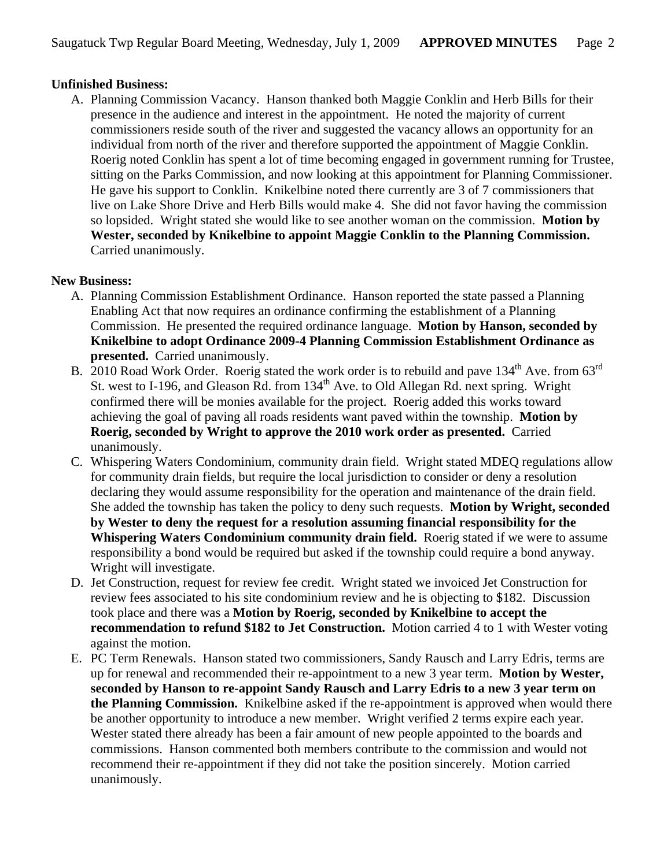## **Unfinished Business:**

A. Planning Commission Vacancy. Hanson thanked both Maggie Conklin and Herb Bills for their presence in the audience and interest in the appointment. He noted the majority of current commissioners reside south of the river and suggested the vacancy allows an opportunity for an individual from north of the river and therefore supported the appointment of Maggie Conklin. Roerig noted Conklin has spent a lot of time becoming engaged in government running for Trustee, sitting on the Parks Commission, and now looking at this appointment for Planning Commissioner. He gave his support to Conklin. Knikelbine noted there currently are 3 of 7 commissioners that live on Lake Shore Drive and Herb Bills would make 4. She did not favor having the commission so lopsided. Wright stated she would like to see another woman on the commission. **Motion by Wester, seconded by Knikelbine to appoint Maggie Conklin to the Planning Commission.** Carried unanimously.

#### **New Business:**

- A. Planning Commission Establishment Ordinance. Hanson reported the state passed a Planning Enabling Act that now requires an ordinance confirming the establishment of a Planning Commission. He presented the required ordinance language. **Motion by Hanson, seconded by Knikelbine to adopt Ordinance 2009-4 Planning Commission Establishment Ordinance as presented.** Carried unanimously.
- B. 2010 Road Work Order. Roerig stated the work order is to rebuild and pave 134<sup>th</sup> Ave. from 63<sup>rd</sup> St. west to I-196, and Gleason Rd. from 134<sup>th</sup> Ave. to Old Allegan Rd. next spring. Wright confirmed there will be monies available for the project. Roerig added this works toward achieving the goal of paving all roads residents want paved within the township. **Motion by Roerig, seconded by Wright to approve the 2010 work order as presented.** Carried unanimously.
- C. Whispering Waters Condominium, community drain field. Wright stated MDEQ regulations allow for community drain fields, but require the local jurisdiction to consider or deny a resolution declaring they would assume responsibility for the operation and maintenance of the drain field. She added the township has taken the policy to deny such requests. **Motion by Wright, seconded by Wester to deny the request for a resolution assuming financial responsibility for the Whispering Waters Condominium community drain field.** Roerig stated if we were to assume responsibility a bond would be required but asked if the township could require a bond anyway. Wright will investigate.
- D. Jet Construction, request for review fee credit. Wright stated we invoiced Jet Construction for review fees associated to his site condominium review and he is objecting to \$182. Discussion took place and there was a **Motion by Roerig, seconded by Knikelbine to accept the recommendation to refund \$182 to Jet Construction.** Motion carried 4 to 1 with Wester voting against the motion.
- E. PC Term Renewals. Hanson stated two commissioners, Sandy Rausch and Larry Edris, terms are up for renewal and recommended their re-appointment to a new 3 year term. **Motion by Wester, seconded by Hanson to re-appoint Sandy Rausch and Larry Edris to a new 3 year term on the Planning Commission.** Knikelbine asked if the re-appointment is approved when would there be another opportunity to introduce a new member. Wright verified 2 terms expire each year. Wester stated there already has been a fair amount of new people appointed to the boards and commissions. Hanson commented both members contribute to the commission and would not recommend their re-appointment if they did not take the position sincerely. Motion carried unanimously.